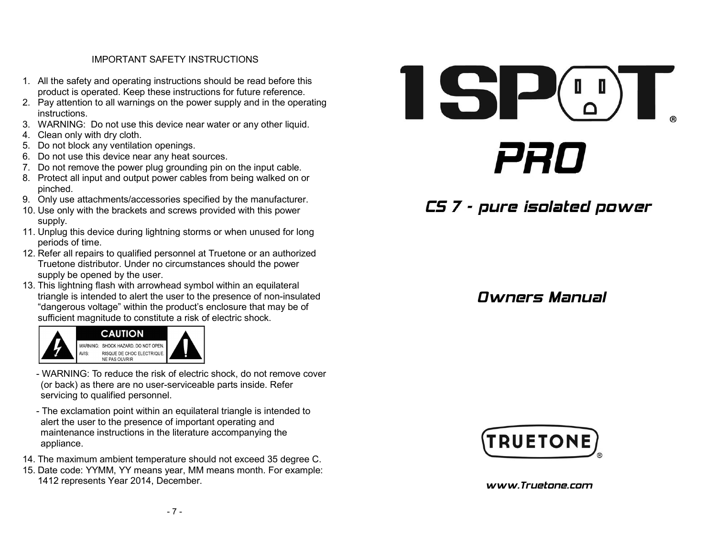#### IMPORTANT SAFETY INSTRUCTIONS

- 1. All the safety and operating instructions should be read before this product is operated. Keep these instructions for future reference.
- 2. Pay attention to all warnings on the power supply and in the operating instructions.
- 3. WARNING: Do not use this device near water or any other liquid.
- 4. Clean only with dry cloth.
- 5. Do not block any ventilation openings.
- 6. Do not use this device near any heat sources.
- 7. Do not remove the power plug grounding pin on the input cable.
- 8. Protect all input and output power cables from being walked on or pinched.
- 9. Only use attachments/accessories specified by the manufacturer.
- 10. Use only with the brackets and screws provided with this power supply.
- 11. Unplug this device during lightning storms or when unused for long periods of time.
- 12. Refer all repairs to qualified personnel at Truetone or an authorized Truetone distributor. Under no circumstances should the power supply be opened by the user.
- 13. This lightning flash with arrowhead symbol within an equilateral triangle is intended to alert the user to the presence of non-insulated "dangerous voltage" within the product's enclosure that may be of sufficient magnitude to constitute a risk of electric shock.



- WARNING: To reduce the risk of electric shock, do not remove cover (or back) as there are no user-serviceable parts inside. Refer servicing to qualified personnel.
- The exclamation point within an equilateral triangle is intended to alert the user to the presence of important operating and maintenance instructions in the literature accompanying the appliance.
- 14. The maximum ambient temperature should not exceed 35 degree C.
- 15. Date code: YYMM, YY means year, MM means month. For example: 1412 represents Year 2014, December.

# $\blacksquare$ PRO

# CS 7 - pure isolated power

### Owners Manual



www.Truetone.com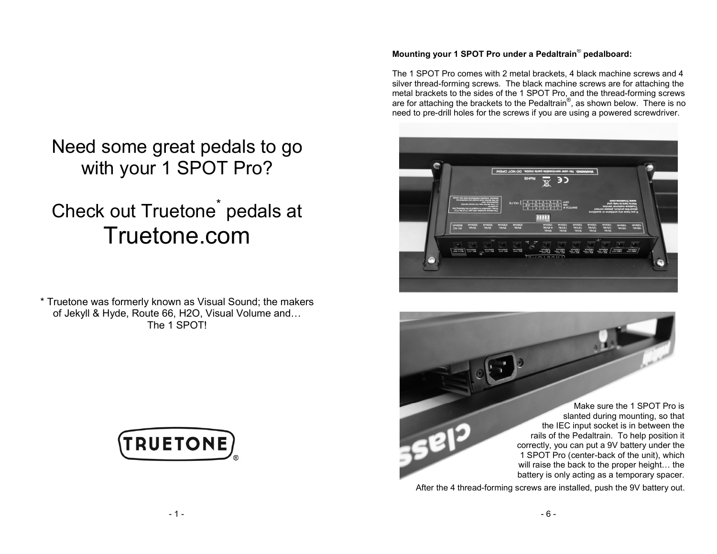# Need some great pedals to go with your 1 SPOT Pro?

## Check out Truetone $\check{\;\;}$  Truetone.compedals at

\* Truetone was formerly known as Visual Sound; the makers of Jekyll & Hyde, Route 66, H2O, Visual Volume and…The 1 SPOT!



#### **Mounting your 1 SPOT Pro under a Pedaltrain**® **pedalboard:**

The 1 SPOT Pro comes with 2 metal brackets, 4 black machine screws and 4 silver thread-forming screws. The black machine screws are for attaching the metal brackets to the sides of the 1 SPOT Pro, and the thread-forming screws are for attaching the brackets to the Pedaltrain $^\circ$ , as shown below. There is no need to pre-drill holes for the screws if you are using a powered screwdriver.



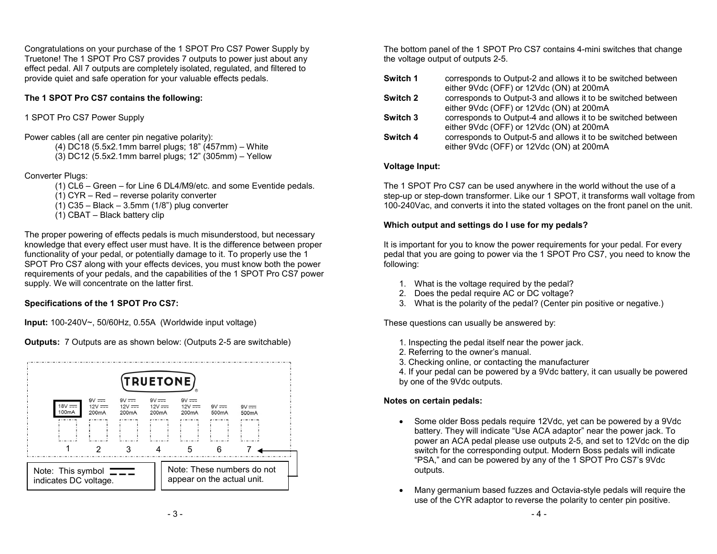Congratulations on your purchase of the 1 SPOT Pro CS7 Power Supply by Truetone! The 1 SPOT Pro CS7 provides 7 outputs to power just about any effect pedal. All 7 outputs are completely isolated, regulated, and filtered to provide quiet and safe operation for your valuable effects pedals.

#### **The 1 SPOT Pro CS7 contains the following:**

#### 1 SPOT Pro CS7 Power Supply

Power cables (all are center pin negative polarity):

(4) DC18 (5.5x2.1mm barrel plugs; 18" (457mm) – White

(3) DC12 (5.5x2.1mm barrel plugs; 12" (305mm) – Yellow

#### Converter Plugs:

- (1) CL6 Green for Line 6 DL4/M9/etc. and some Eventide pedals.
- (1) CYR Red reverse polarity converter
- (1) C35 Black 3.5mm (1/8") plug converter
- (1) CBAT Black battery clip

The proper powering of effects pedals is much misunderstood, but necessary knowledge that every effect user must have. It is the difference between proper functionality of your pedal, or potentially damage to it. To properly use the 1 SPOT Pro CS7 along with your effects devices, you must know both the power requirements of your pedals, and the capabilities of the 1 SPOT Pro CS7 power supply. We will concentrate on the latter first.

#### **Specifications of the 1 SPOT Pro CS7:**

**Input:** 100-240V~, 50/60Hz, 0.55A (Worldwide input voltage)

**Outputs:** 7 Outputs are as shown below: (Outputs 2-5 are switchable)



The bottom panel of the 1 SPOT Pro CS7 contains 4-mini switches that change the voltage output of outputs 2-5.

| Switch 1 | corresponds to Output-2 and allows it to be switched between<br>either 9Vdc (OFF) or 12Vdc (ON) at 200mA |
|----------|----------------------------------------------------------------------------------------------------------|
| Switch 2 | corresponds to Output-3 and allows it to be switched between<br>either 9Vdc (OFF) or 12Vdc (ON) at 200mA |
| Switch 3 | corresponds to Output-4 and allows it to be switched between<br>either 9Vdc (OFF) or 12Vdc (ON) at 200mA |
| Switch 4 | corresponds to Output-5 and allows it to be switched between<br>either 9Vdc (OFF) or 12Vdc (ON) at 200mA |

#### **Voltage Input:**

The 1 SPOT Pro CS7 can be used anywhere in the world without the use of a step-up or step-down transformer. Like our 1 SPOT, it transforms wall voltage from 100-240Vac, and converts it into the stated voltages on the front panel on the unit.

#### **Which output and settings do I use for my pedals?**

It is important for you to know the power requirements for your pedal. For every pedal that you are going to power via the 1 SPOT Pro CS7, you need to know the following:

- 1. What is the voltage required by the pedal?
- 2. Does the pedal require AC or DC voltage?
- 3. What is the polarity of the pedal? (Center pin positive or negative.)

These questions can usually be answered by:

- 1. Inspecting the pedal itself near the power jack.
- 2. Referring to the owner's manual.
- 3. Checking online, or contacting the manufacturer

 4. If your pedal can be powered by a 9Vdc battery, it can usually be powered by one of the 9Vdc outputs.

#### **Notes on certain pedals:**

- Some older Boss pedals require 12Vdc, yet can be powered by a 9Vdc battery. They will indicate "Use ACA adaptor" near the power jack. To power an ACA pedal please use outputs 2-5, and set to 12Vdc on the dip switch for the corresponding output. Modern Boss pedals will indicate "PSA," and can be powered by any of the 1 SPOT Pro CS7's 9Vdc outputs.
- Many germanium based fuzzes and Octavia-style pedals will require the use of the CYR adaptor to reverse the polarity to center pin positive.